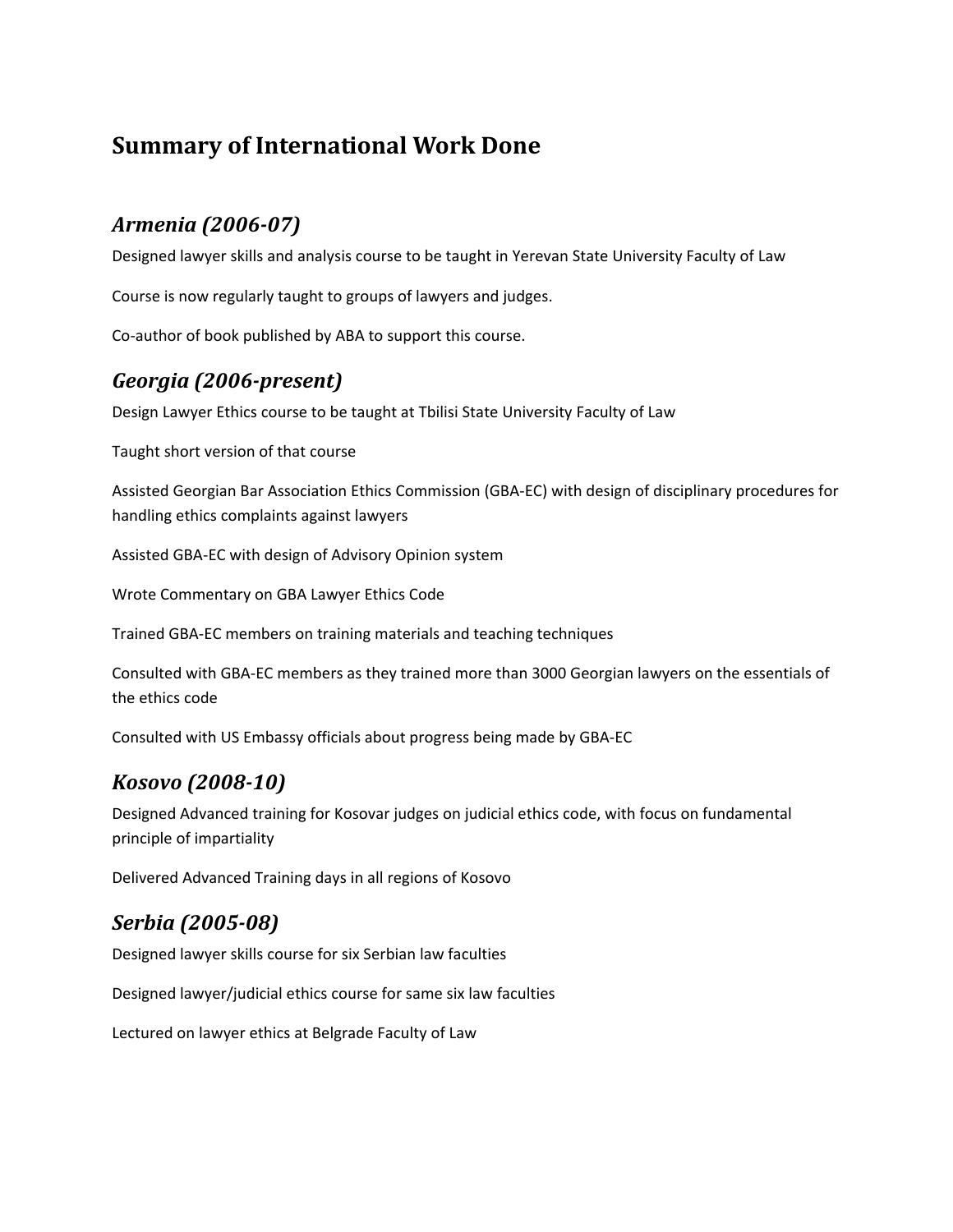# **Summary of International Work Done**

# *Armenia (2006‐07)*

Designed lawyer skills and analysis course to be taught in Yerevan State University Faculty of Law

Course is now regularly taught to groups of lawyers and judges.

Co‐author of book published by ABA to support this course.

#### *Georgia (2006‐present)*

Design Lawyer Ethics course to be taught at Tbilisi State University Faculty of Law

Taught short version of that course

Assisted Georgian Bar Association Ethics Commission (GBA‐EC) with design of disciplinary procedures for handling ethics complaints against lawyers

Assisted GBA‐EC with design of Advisory Opinion system

Wrote Commentary on GBA Lawyer Ethics Code

Trained GBA‐EC members on training materials and teaching techniques

Consulted with GBA‐EC members as they trained more than 3000 Georgian lawyers on the essentials of the ethics code

Consulted with US Embassy officials about progress being made by GBA‐EC

#### *Kosovo (2008‐10)*

Designed Advanced training for Kosovar judges on judicial ethics code, with focus on fundamental principle of impartiality

Delivered Advanced Training days in all regions of Kosovo

### *Serbia (2005‐08)*

Designed lawyer skills course for six Serbian law faculties

Designed lawyer/judicial ethics course for same six law faculties

Lectured on lawyer ethics at Belgrade Faculty of Law